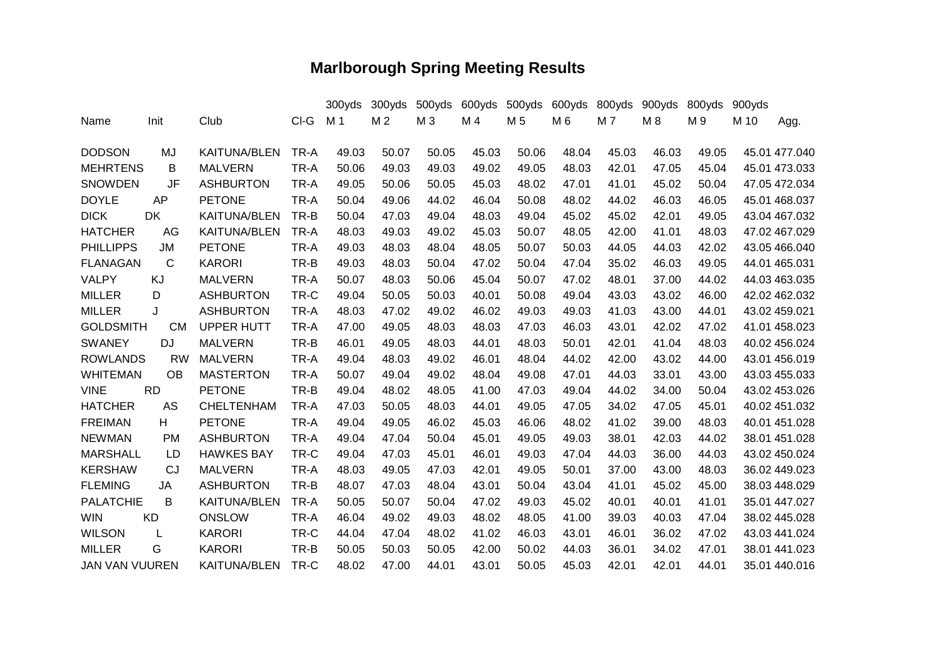## **Marlborough Spring Meeting Results**

|                       |              |                     |      | 300yds         | 300yds         | 500yds | 600yds | 500yds | 600yds         | 800yds | 900yds | 800yds | 900yds |               |
|-----------------------|--------------|---------------------|------|----------------|----------------|--------|--------|--------|----------------|--------|--------|--------|--------|---------------|
| Name                  | Init         | Club                | CI-G | M <sub>1</sub> | M <sub>2</sub> | M 3    | M 4    | M 5    | M <sub>6</sub> | M 7    | M8     | M 9    | M 10   | Agg.          |
|                       |              |                     |      |                |                |        |        |        |                |        |        |        |        |               |
| <b>DODSON</b>         | MJ           | <b>KAITUNA/BLEN</b> | TR-A | 49.03          | 50.07          | 50.05  | 45.03  | 50.06  | 48.04          | 45.03  | 46.03  | 49.05  |        | 45.01 477.040 |
| <b>MEHRTENS</b>       | B            | <b>MALVERN</b>      | TR-A | 50.06          | 49.03          | 49.03  | 49.02  | 49.05  | 48.03          | 42.01  | 47.05  | 45.04  |        | 45.01 473.033 |
| <b>SNOWDEN</b>        | JF           | <b>ASHBURTON</b>    | TR-A | 49.05          | 50.06          | 50.05  | 45.03  | 48.02  | 47.01          | 41.01  | 45.02  | 50.04  |        | 47.05 472.034 |
| <b>DOYLE</b>          | <b>AP</b>    | <b>PETONE</b>       | TR-A | 50.04          | 49.06          | 44.02  | 46.04  | 50.08  | 48.02          | 44.02  | 46.03  | 46.05  |        | 45.01 468.037 |
| <b>DICK</b>           | <b>DK</b>    | <b>KAITUNA/BLEN</b> | TR-B | 50.04          | 47.03          | 49.04  | 48.03  | 49.04  | 45.02          | 45.02  | 42.01  | 49.05  |        | 43.04 467.032 |
| <b>HATCHER</b>        | AG           | <b>KAITUNA/BLEN</b> | TR-A | 48.03          | 49.03          | 49.02  | 45.03  | 50.07  | 48.05          | 42.00  | 41.01  | 48.03  |        | 47.02 467.029 |
| <b>PHILLIPPS</b>      | <b>JM</b>    | <b>PETONE</b>       | TR-A | 49.03          | 48.03          | 48.04  | 48.05  | 50.07  | 50.03          | 44.05  | 44.03  | 42.02  |        | 43.05 466.040 |
| <b>FLANAGAN</b>       | $\mathsf{C}$ | <b>KARORI</b>       | TR-B | 49.03          | 48.03          | 50.04  | 47.02  | 50.04  | 47.04          | 35.02  | 46.03  | 49.05  |        | 44.01 465.031 |
| <b>VALPY</b>          | KJ           | <b>MALVERN</b>      | TR-A | 50.07          | 48.03          | 50.06  | 45.04  | 50.07  | 47.02          | 48.01  | 37.00  | 44.02  |        | 44.03 463.035 |
| <b>MILLER</b>         | D            | <b>ASHBURTON</b>    | TR-C | 49.04          | 50.05          | 50.03  | 40.01  | 50.08  | 49.04          | 43.03  | 43.02  | 46.00  |        | 42.02 462.032 |
| <b>MILLER</b>         | J            | <b>ASHBURTON</b>    | TR-A | 48.03          | 47.02          | 49.02  | 46.02  | 49.03  | 49.03          | 41.03  | 43.00  | 44.01  |        | 43.02 459.021 |
| <b>GOLDSMITH</b>      | <b>CM</b>    | <b>UPPER HUTT</b>   | TR-A | 47.00          | 49.05          | 48.03  | 48.03  | 47.03  | 46.03          | 43.01  | 42.02  | 47.02  |        | 41.01 458.023 |
| <b>SWANEY</b>         | <b>DJ</b>    | <b>MALVERN</b>      | TR-B | 46.01          | 49.05          | 48.03  | 44.01  | 48.03  | 50.01          | 42.01  | 41.04  | 48.03  |        | 40.02 456.024 |
| <b>ROWLANDS</b>       | <b>RW</b>    | <b>MALVERN</b>      | TR-A | 49.04          | 48.03          | 49.02  | 46.01  | 48.04  | 44.02          | 42.00  | 43.02  | 44.00  |        | 43.01 456.019 |
| <b>WHITEMAN</b>       | <b>OB</b>    | <b>MASTERTON</b>    | TR-A | 50.07          | 49.04          | 49.02  | 48.04  | 49.08  | 47.01          | 44.03  | 33.01  | 43.00  |        | 43.03 455.033 |
| <b>VINE</b>           | <b>RD</b>    | <b>PETONE</b>       | TR-B | 49.04          | 48.02          | 48.05  | 41.00  | 47.03  | 49.04          | 44.02  | 34.00  | 50.04  |        | 43.02 453.026 |
| <b>HATCHER</b>        | AS           | <b>CHELTENHAM</b>   | TR-A | 47.03          | 50.05          | 48.03  | 44.01  | 49.05  | 47.05          | 34.02  | 47.05  | 45.01  |        | 40.02 451.032 |
| <b>FREIMAN</b>        | H            | <b>PETONE</b>       | TR-A | 49.04          | 49.05          | 46.02  | 45.03  | 46.06  | 48.02          | 41.02  | 39.00  | 48.03  |        | 40.01 451.028 |
| <b>NEWMAN</b>         | <b>PM</b>    | <b>ASHBURTON</b>    | TR-A | 49.04          | 47.04          | 50.04  | 45.01  | 49.05  | 49.03          | 38.01  | 42.03  | 44.02  |        | 38.01 451.028 |
| <b>MARSHALL</b>       | LD           | <b>HAWKES BAY</b>   | TR-C | 49.04          | 47.03          | 45.01  | 46.01  | 49.03  | 47.04          | 44.03  | 36.00  | 44.03  |        | 43.02 450.024 |
| <b>KERSHAW</b>        | CJ           | <b>MALVERN</b>      | TR-A | 48.03          | 49.05          | 47.03  | 42.01  | 49.05  | 50.01          | 37.00  | 43.00  | 48.03  |        | 36.02 449.023 |
| <b>FLEMING</b>        | JA           | <b>ASHBURTON</b>    | TR-B | 48.07          | 47.03          | 48.04  | 43.01  | 50.04  | 43.04          | 41.01  | 45.02  | 45.00  |        | 38.03 448.029 |
| <b>PALATCHIE</b>      | B            | <b>KAITUNA/BLEN</b> | TR-A | 50.05          | 50.07          | 50.04  | 47.02  | 49.03  | 45.02          | 40.01  | 40.01  | 41.01  |        | 35.01 447.027 |
| <b>WIN</b>            | <b>KD</b>    | <b>ONSLOW</b>       | TR-A | 46.04          | 49.02          | 49.03  | 48.02  | 48.05  | 41.00          | 39.03  | 40.03  | 47.04  |        | 38.02 445.028 |
| <b>WILSON</b>         | L            | <b>KARORI</b>       | TR-C | 44.04          | 47.04          | 48.02  | 41.02  | 46.03  | 43.01          | 46.01  | 36.02  | 47.02  |        | 43.03 441.024 |
| <b>MILLER</b>         | G            | <b>KARORI</b>       | TR-B | 50.05          | 50.03          | 50.05  | 42.00  | 50.02  | 44.03          | 36.01  | 34.02  | 47.01  |        | 38.01 441.023 |
| <b>JAN VAN VUUREN</b> |              | <b>KAITUNA/BLEN</b> | TR-C | 48.02          | 47.00          | 44.01  | 43.01  | 50.05  | 45.03          | 42.01  | 42.01  | 44.01  |        | 35.01 440.016 |